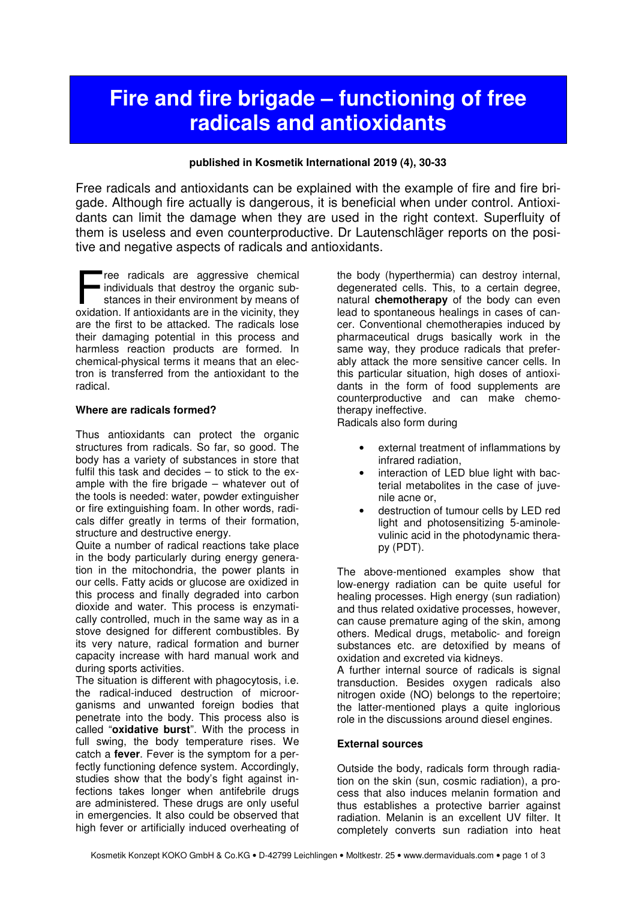# **Fire and fire brigade – functioning of free radicals and antioxidants**

#### **published in Kosmetik International 2019 (4), 30-33**

Free radicals and antioxidants can be explained with the example of fire and fire brigade. Although fire actually is dangerous, it is beneficial when under control. Antioxidants can limit the damage when they are used in the right context. Superfluity of them is useless and even counterproductive. Dr Lautenschläger reports on the positive and negative aspects of radicals and antioxidants.

ree radicals are aggressive chemical individuals that destroy the organic substances in their environment by means of ree radicals are aggressive chemical<br>individuals that destroy the organic sub-<br>stances in their environment by means of<br>oxidation. If antioxidants are in the vicinity, they are the first to be attacked. The radicals lose their damaging potential in this process and harmless reaction products are formed. In chemical-physical terms it means that an electron is transferred from the antioxidant to the radical.

#### **Where are radicals formed?**

Thus antioxidants can protect the organic structures from radicals. So far, so good. The body has a variety of substances in store that fulfil this task and decides – to stick to the example with the fire brigade – whatever out of the tools is needed: water, powder extinguisher or fire extinguishing foam. In other words, radicals differ greatly in terms of their formation, structure and destructive energy.

Quite a number of radical reactions take place in the body particularly during energy generation in the mitochondria, the power plants in our cells. Fatty acids or glucose are oxidized in this process and finally degraded into carbon dioxide and water. This process is enzymatically controlled, much in the same way as in a stove designed for different combustibles. By its very nature, radical formation and burner capacity increase with hard manual work and during sports activities.

The situation is different with phagocytosis, i.e. the radical-induced destruction of microorganisms and unwanted foreign bodies that penetrate into the body. This process also is called "**oxidative burst**". With the process in full swing, the body temperature rises. We catch a **fever**. Fever is the symptom for a perfectly functioning defence system. Accordingly, studies show that the body's fight against infections takes longer when antifebrile drugs are administered. These drugs are only useful in emergencies. It also could be observed that high fever or artificially induced overheating of

the body (hyperthermia) can destroy internal, degenerated cells. This, to a certain degree, natural **chemotherapy** of the body can even lead to spontaneous healings in cases of cancer. Conventional chemotherapies induced by pharmaceutical drugs basically work in the same way, they produce radicals that preferably attack the more sensitive cancer cells. In this particular situation, high doses of antioxidants in the form of food supplements are counterproductive and can make chemotherapy ineffective.

Radicals also form during

- external treatment of inflammations by infrared radiation,
- interaction of LED blue light with bacterial metabolites in the case of juvenile acne or,
- destruction of tumour cells by LED red light and photosensitizing 5-aminolevulinic acid in the photodynamic therapy (PDT).

The above-mentioned examples show that low-energy radiation can be quite useful for healing processes. High energy (sun radiation) and thus related oxidative processes, however, can cause premature aging of the skin, among others. Medical drugs, metabolic- and foreign substances etc. are detoxified by means of oxidation and excreted via kidneys.

A further internal source of radicals is signal transduction. Besides oxygen radicals also nitrogen oxide (NO) belongs to the repertoire; the latter-mentioned plays a quite inglorious role in the discussions around diesel engines.

#### **External sources**

Outside the body, radicals form through radiation on the skin (sun, cosmic radiation), a process that also induces melanin formation and thus establishes a protective barrier against radiation. Melanin is an excellent UV filter. It completely converts sun radiation into heat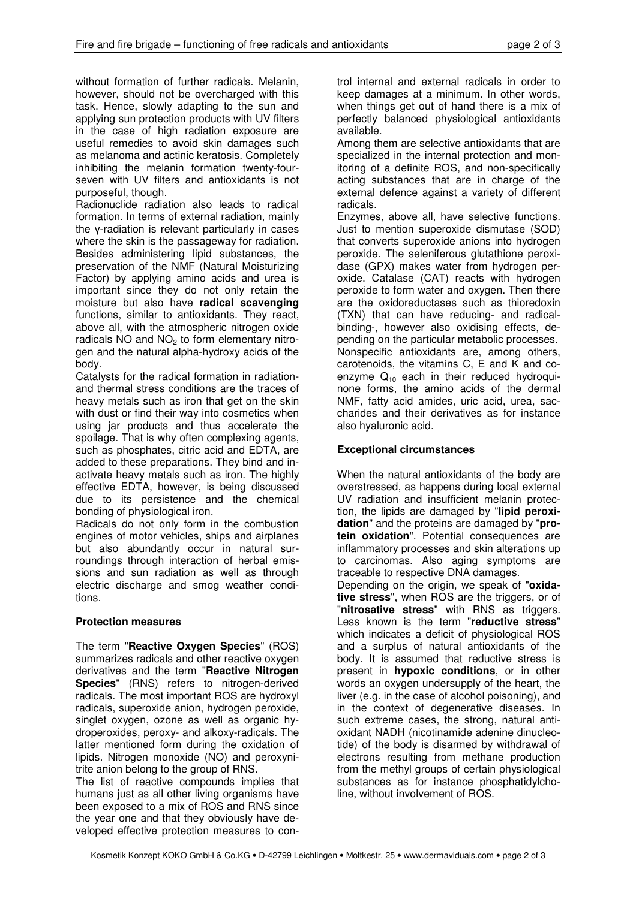without formation of further radicals. Melanin, however, should not be overcharged with this task. Hence, slowly adapting to the sun and applying sun protection products with UV filters in the case of high radiation exposure are useful remedies to avoid skin damages such as melanoma and actinic keratosis. Completely inhibiting the melanin formation twenty-fourseven with UV filters and antioxidants is not purposeful, though.

Radionuclide radiation also leads to radical formation. In terms of external radiation, mainly the γ-radiation is relevant particularly in cases where the skin is the passageway for radiation. Besides administering lipid substances, the preservation of the NMF (Natural Moisturizing Factor) by applying amino acids and urea is important since they do not only retain the moisture but also have **radical scavenging**  functions, similar to antioxidants. They react, above all, with the atmospheric nitrogen oxide radicals  $NO$  and  $NO<sub>2</sub>$  to form elementary nitrogen and the natural alpha-hydroxy acids of the body.

Catalysts for the radical formation in radiationand thermal stress conditions are the traces of heavy metals such as iron that get on the skin with dust or find their way into cosmetics when using jar products and thus accelerate the spoilage. That is why often complexing agents, such as phosphates, citric acid and EDTA, are added to these preparations. They bind and inactivate heavy metals such as iron. The highly effective EDTA, however, is being discussed due to its persistence and the chemical bonding of physiological iron.

Radicals do not only form in the combustion engines of motor vehicles, ships and airplanes but also abundantly occur in natural surroundings through interaction of herbal emissions and sun radiation as well as through electric discharge and smog weather conditions.

## **Protection measures**

The term "**Reactive Oxygen Species**" (ROS) summarizes radicals and other reactive oxygen derivatives and the term "**Reactive Nitrogen Species**" (RNS) refers to nitrogen-derived radicals. The most important ROS are hydroxyl radicals, superoxide anion, hydrogen peroxide, singlet oxygen, ozone as well as organic hydroperoxides, peroxy- and alkoxy-radicals. The latter mentioned form during the oxidation of lipids. Nitrogen monoxide (NO) and peroxynitrite anion belong to the group of RNS.

The list of reactive compounds implies that humans just as all other living organisms have been exposed to a mix of ROS and RNS since the year one and that they obviously have developed effective protection measures to con-

trol internal and external radicals in order to keep damages at a minimum. In other words, when things get out of hand there is a mix of perfectly balanced physiological antioxidants available.

Among them are selective antioxidants that are specialized in the internal protection and monitoring of a definite ROS, and non-specifically acting substances that are in charge of the external defence against a variety of different radicals.

Enzymes, above all, have selective functions. Just to mention superoxide dismutase (SOD) that converts superoxide anions into hydrogen peroxide. The seleniferous glutathione peroxidase (GPX) makes water from hydrogen peroxide. Catalase (CAT) reacts with hydrogen peroxide to form water and oxygen. Then there are the oxidoreductases such as thioredoxin (TXN) that can have reducing- and radicalbinding-, however also oxidising effects, depending on the particular metabolic processes. Nonspecific antioxidants are, among others, carotenoids, the vitamins C, E and K and coenzyme  $Q_{10}$  each in their reduced hydroquinone forms, the amino acids of the dermal NMF, fatty acid amides, uric acid, urea, saccharides and their derivatives as for instance also hyaluronic acid.

# **Exceptional circumstances**

When the natural antioxidants of the body are overstressed, as happens during local external UV radiation and insufficient melanin protection, the lipids are damaged by "**lipid peroxidation**" and the proteins are damaged by "**protein oxidation**". Potential consequences are inflammatory processes and skin alterations up to carcinomas. Also aging symptoms are traceable to respective DNA damages.

Depending on the origin, we speak of "**oxidative stress**", when ROS are the triggers, or of "**nitrosative stress**" with RNS as triggers. Less known is the term "**reductive stress**" which indicates a deficit of physiological ROS and a surplus of natural antioxidants of the body. It is assumed that reductive stress is present in **hypoxic conditions**, or in other words an oxygen undersupply of the heart, the liver (e.g. in the case of alcohol poisoning), and in the context of degenerative diseases. In such extreme cases, the strong, natural antioxidant NADH (nicotinamide adenine dinucleotide) of the body is disarmed by withdrawal of electrons resulting from methane production from the methyl groups of certain physiological substances as for instance phosphatidylcholine, without involvement of ROS.